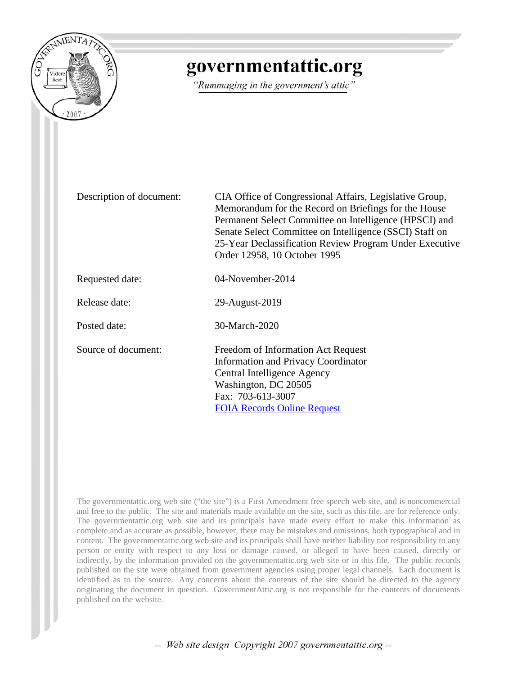

## governmentattic.org

"Rummaging in the government's attic"

Description of document: CIA Office of Congressional Affairs, Legislative Group, Memorandum for the Record on Briefings for the House Permanent Select Committee on Intelligence (HPSCI) and Senate Select Committee on Intelligence (SSCI) Staff on 25-Year Declassification Review Program Under Executive Order 12958, 10 October 1995

Requested date: 04-November-2014

Release date: 29-August-2019

Posted date: 30-March-2020

Source of document: Freedom of Information Act Request Information and Privacy Coordinator Central Intelligence Agency Washington, DC 20505 Fax: 703-613-3007 [FOIA Records Online Request](https://www.cia.gov/library/readingroom/node/256459)

The governmentattic.org web site ("the site") is a First Amendment free speech web site, and is noncommercial and free to the public. The site and materials made available on the site, such as this file, are for reference only. The governmentattic.org web site and its principals have made every effort to make this information as complete and as accurate as possible, however, there may be mistakes and omissions, both typographical and in content. The governmentattic.org web site and its principals shall have neither liability nor responsibility to any person or entity with respect to any loss or damage caused, or alleged to have been caused, directly or indirectly, by the information provided on the governmentattic.org web site or in this file. The public records published on the site were obtained from government agencies using proper legal channels. Each document is identified as to the source. Any concerns about the contents of the site should be directed to the agency originating the document in question. GovernmentAttic.org is not responsible for the contents of documents published on the website.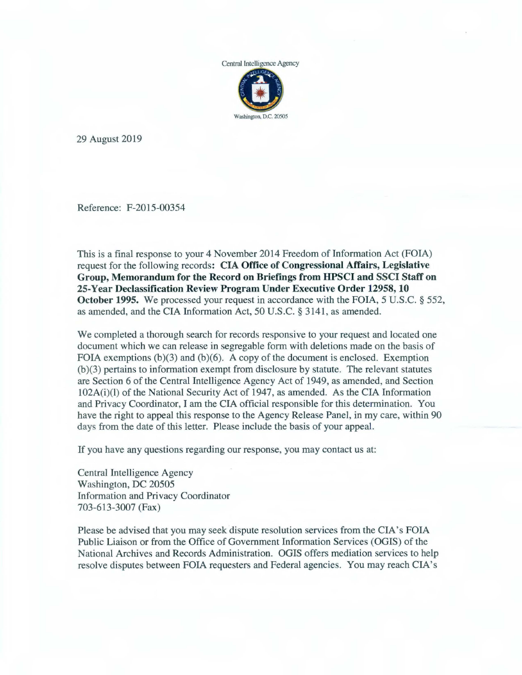

29 August 2019

Reference: F-2015-00354

This is a final response to your 4 November 2014 Freedom of Information Act (FOIA) request for the following records: **CIA Office of Congressional Affairs, Legislative Group, Memorandum for the Record on Briefings from HPSCI and SSCI Staff on 25-Year Declassification Review Program Under Executive Order 12958, 10 October 1995.** We processed your request in accordance with the FOIA, 5 U.S.C. § 552, as amended, and the CIA Information Act, 50 U.S.C. § 3141, as amended.

We completed a thorough search for records responsive to your request and located one document which we can release in segregable form with deletions made on the basis of FOIA exemptions  $(b)(3)$  and  $(b)(6)$ . A copy of the document is enclosed. Exemption (b )(3) pertains to information exempt from disclosure by statute. The relevant statutes are Section 6 of the Central Intelligence Agency Act of 1949, as amended, and Section 102A(i)(l) of the National Security Act of 1947, as amended. As the CIA Information and Privacy Coordinator, I am the CIA official responsible for this determination. You have the right to appeal this response to the Agency Release Panel, in my care, within 90 days from the date of this letter. Please include the basis of your appeal.

If you have any questions regarding our response, you may contact us at:

Central Intelligence Agency Washington, DC 20505 Information and Privacy Coordinator 703-613-3007 (Fax)

Please be advised that you may seek dispute resolution services from the CIA's FOIA Public Liaison or from the Office of Government Information Services (OGIS) of the National Archives and Records Administration. OGIS offers mediation services to help resolve disputes between FOIA requesters and Federal agencies. You may reach CIA's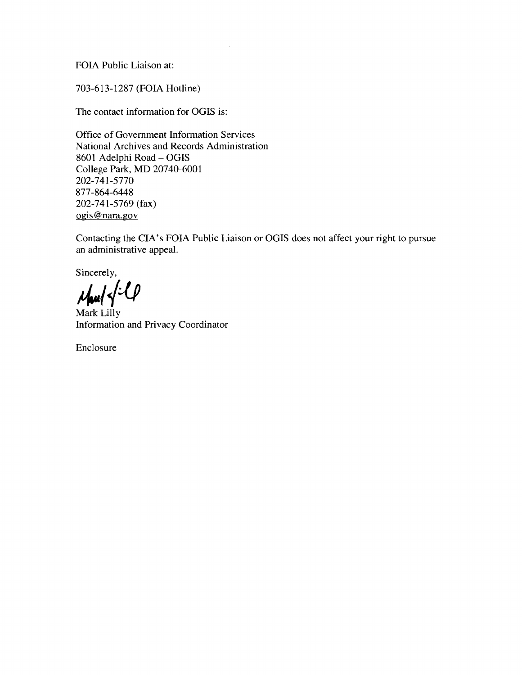FOIA Public Liaison at:

703-613-1287 (FOIA Hotline)

The contact information for OGIS is:

Office of Government Information Services National Archives and Records Administration 8601 Adelphi Road- OGIS College Park, MD 20740-6001 202-741-5770 877 -864-6448 202-741-5769 (fax) ogis@nara.gov

Contacting the CIA's FOIA Public Liaison or OGIS does not affect your right to pursue an administrative appeal.

Sincerely,

*~/{4* 

Mark Lilly Information and Privacy Coordinator

Enclosure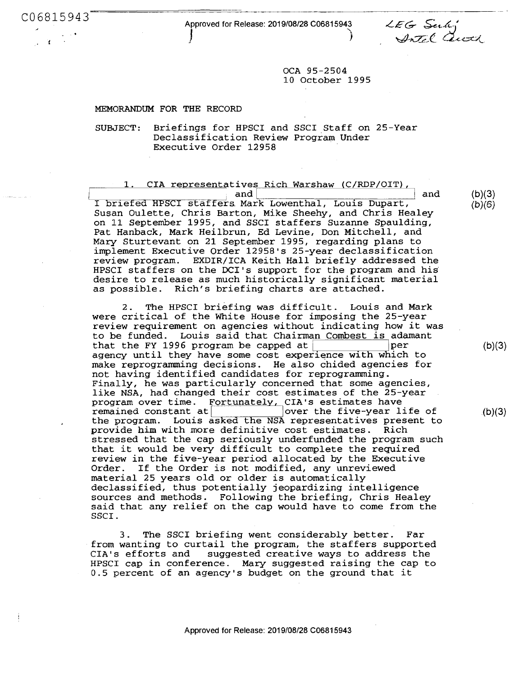C06815943 Approved for Release: 2019/08/28 C06815943  $J \qquad \qquad$ 

LEG Subj<br>Artel Queek

OCA 95-2504 10 October 1995

## MEMORANDUM FOR THE RECORD

SUBJECT: Briefings for HPSCI and SSCI Staff on 25-Year Declassification Review Program Under Executive Order 12958

1. CIA representatives Rich Warshaw (C/RDP/OIT),<br>and

• and I I and ~I~b\_r\_i~e-f\_e\_d\_H-P~s-c-r\_s\_t\_a\_f~f-e~ra **Mark Lowenthal, Louis Dupart,**  Susan Oulette, Chris Barton, Mike Sheehy, and Chris Healey on 11 September 1995, and SSCI staffers Suzanne Spaulding, Pat Hanback, Mark Heilbrun, Ed Levine, Don Mitchell, and Mary Sturtevant on 21 September 1995, regarding plans to implement Executive Order 12958's 25-year declassification review program. EXDIR/ICA Keith Hall briefly addressed the HPSCI staffers on the DCI's support for the program and his desire to release as much historically significant material as possible. Rich's briefing charts are attached.

2. The HPSCI briefing was difficult. Louis and Mark were critical of the White House for imposing the 25-year review requirement on agencies without indicating how it was to be funded. Louis said that Chairman Combest is adamant<br>that the FY 1996 program be capped at that the FY 1996 program be capped at  $|$ agency until they have some cost experience with which to make reprogramming decisions. He also chided agencies for not having identified candidates for reprogramming. Finally, he was particularly concerned that some agencies, like **NSA,** had changed their cost estimates of the 25-year program over time. Fortunately, CIA's estimates have<br>remained constant at over the five-year life of remained constant  $at$   $\begin{array}{c|c} \hline \text{lower the five-year life of} \\ \hline \text{the program.} \hline \text{Louis asked the NSA representative's present to} \end{array}$ provide him with more definitive cost estimates. Rich stressed that the cap seriously underfunded the program such that it would be very difficult to complete the required review in the five-year period allocated by the Executive Order. If the Order is not modified, any unreviewed material 25 years old or older is automatically declassified, thus potentially jeopardizing intelligence sources and methods. Following the briefing, Chris Healey said that any relief on the cap would have to come from the SSCI.

3. The SSCI briefing went considerably better. Far from wanting to curtail the program, the staffers supported suggested creative ways to address the HPSCI cap in conference. Mary suggested raising the cap to 0.5 percent of an agency's budget on the ground that it

 $(b)(3)$  $(b)(6)$ 

(b)(3)

 $(b)(3)$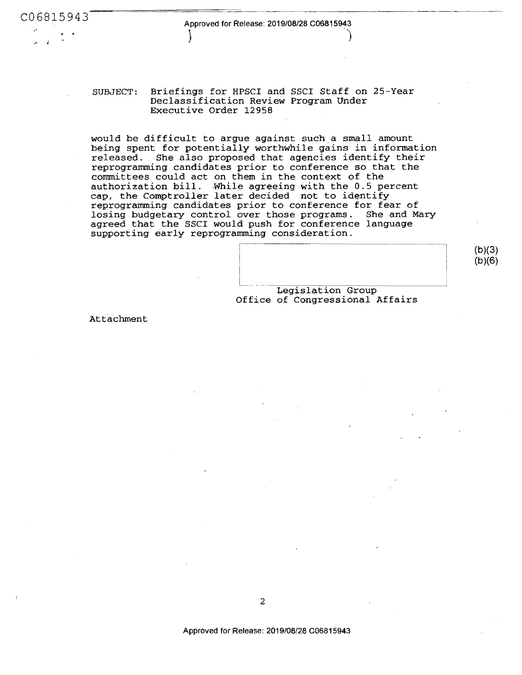) and the set of  $\mathcal{Y}$  and  $\mathcal{Y}$ 

SUBJECT: Briefings for HPSCI and SSCI Staff on 25-Year Declassification **Review** Program Under Executive Order 12958

would be difficult to argue against such a small amount being spent for potentially worthwhile gains in information released. She also proposed that agencies identify their reprogramming candidates prior to conference so that the committees could act on them in the context of the authorization bill. While agreeing with the 0.5 percent cap, the Comptroller later decided not to identify reprogramming candidates prior to conference for fear of losing budgetary control over those programs. She and Mary agreed that the SSCI would push for conference language supporting early reprogramming consideration.

l Legislation Group

 $(b)(3)$ (b)(6)

Office of Congressional Affairs

Attachment